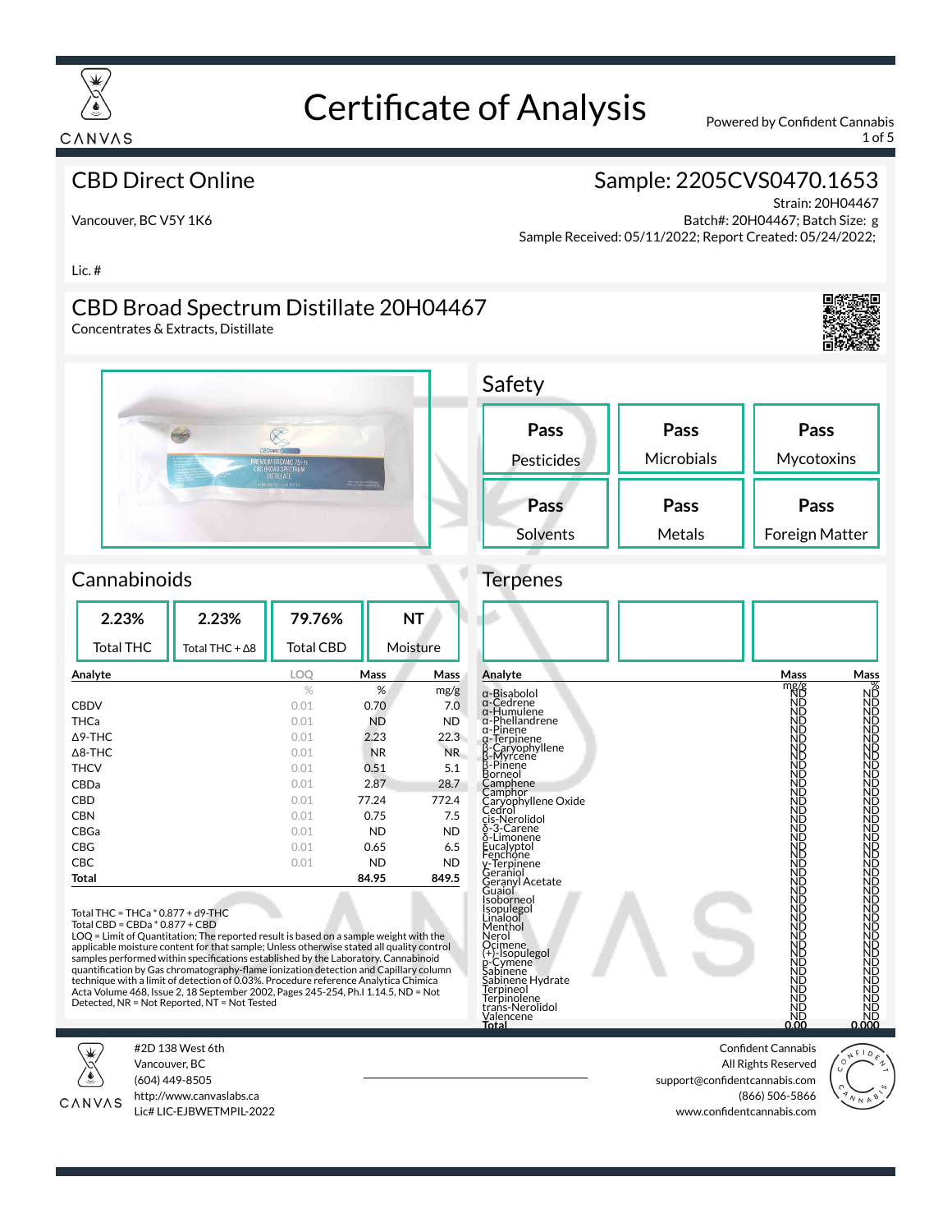

1 of 5

#### CBD Direct Online

### Sample: 2205CVS0470.1653

Vancouver, BC V5Y 1K6

Strain: 20H04467 Batch#: 20H04467; Batch Size: g Sample Received: 05/11/2022; Report Created: 05/24/2022;

Lic. #

#### CBD Broad Spectrum Distillate 20H04467

Concentrates & Extracts, Distillate



| Safety            |            |                |
|-------------------|------------|----------------|
| Pass              | Pass       | Pass           |
| <b>Pesticides</b> | Microbials | Mycotoxins     |
| Pass              | Pass       | Pass           |
| Solvents          | Metals     | Foreign Matter |

#### **Cannabinoids**

| 2.23%             | 2.23%                  | 79.76%           |           | <b>NT</b> |
|-------------------|------------------------|------------------|-----------|-----------|
| <b>Total THC</b>  | Total THC + $\Delta$ 8 | <b>Total CBD</b> |           | Moisture  |
| Analyte           |                        | LOQ              | Mass      | Mass      |
|                   |                        | $\%$             | %         | mg/g      |
| <b>CBDV</b>       |                        | 0.01             | 0.70      | 7.0       |
| <b>THCa</b>       |                        | 0.01             | <b>ND</b> | <b>ND</b> |
| $\triangle$ 9-THC |                        | 0.01             | 2.23      | 22.3      |
| $\triangle$ 8-THC |                        | 0.01             | <b>NR</b> | NR.       |
| <b>THCV</b>       |                        | 0.01             | 0.51      | 5.1       |
| CBDa              |                        | 0.01             | 2.87      | 28.7      |
| CBD               |                        | 0.01             | 77.24     | 772.4     |
| <b>CBN</b>        |                        | 0.01             | 0.75      | 7.5       |
| CBGa              |                        | 0.01             | <b>ND</b> | <b>ND</b> |
| CBG               |                        | 0.01             | 0.65      | 6.5       |
| <b>CBC</b>        |                        | 0.01             | <b>ND</b> | <b>ND</b> |
| Total             |                        |                  | 84.95     | 849.5     |

Total THC = THCa \* 0.877 + d9-THC

Total CBD = CBDa \* 0.877 + CBD

LOQ = Limit of Quantitation; The reported result is based on a sample weight with the applicable moisture content for that sample; Unless otherwise stated all quality control<br>samples performed within specifications established by the Laboratory. Cannabinoid quantification by Gas chromatography-flame ionization detection and Capillary column technique with a limit of detection of 0.03%. Procedure reference Analytica Chimica Acta Volume 468, Issue 2, 18 September 2002, Pages 245-254, Ph.I 1.14.5, ND = Not Detected, NR = Not Reported, NT = Not Tested



#2D 138 West 6th Vancouver, BC (604) 449-8505



http://www.canvaslabs.ca Lic# LIC-EJBWETMPIL-2022 **Analyte Mass Mass** mg/g % a-Bisabolol<br>a-Cedrene<br>a-Humulene<br>a-Phellandrene<br>a-Phellandrene<br>a-Pinene<br>a-Pinene<br>B-Myrcene<br>B-Myrcene<br>Borneol<br>Barmonene<br>Caryophyllene Oxide<br>Camphor<br>Caryophyllene Oxide<br>Cis-Nerolidol<br>Cis-Nerolidol<br>Cis-Nerolidol δ-3-Carene<br>eLucalyptol<br>Eucalyptol<br>"Henchone<br>"Ceraniol<br>"Geraniol<br>Geraniol Acetate<br>Geraniol Nethtol<br>Isopulegol<br>Isopulegol<br>Menthol<br>Nerol Nethtol<br>Ocimene<br>Ocimene ND ND ND<br>Ocimene (+)-Isopulegol ND ND<br>p-Cymene ND ND ND ND<br>Sabinene Hydrate ND ND ND ND ND ND Terpineol (\* 1888)<br>Terpinolene Nobel (\* 1888)<br>trans-Nerolidol ND ND ND ND alencene **Total 0.00 0.000**

> Confident Cannabis All Rights Reserved support@confidentcannabis.com (866) 506-5866 www.confidentcannabis.com



#### Terpenes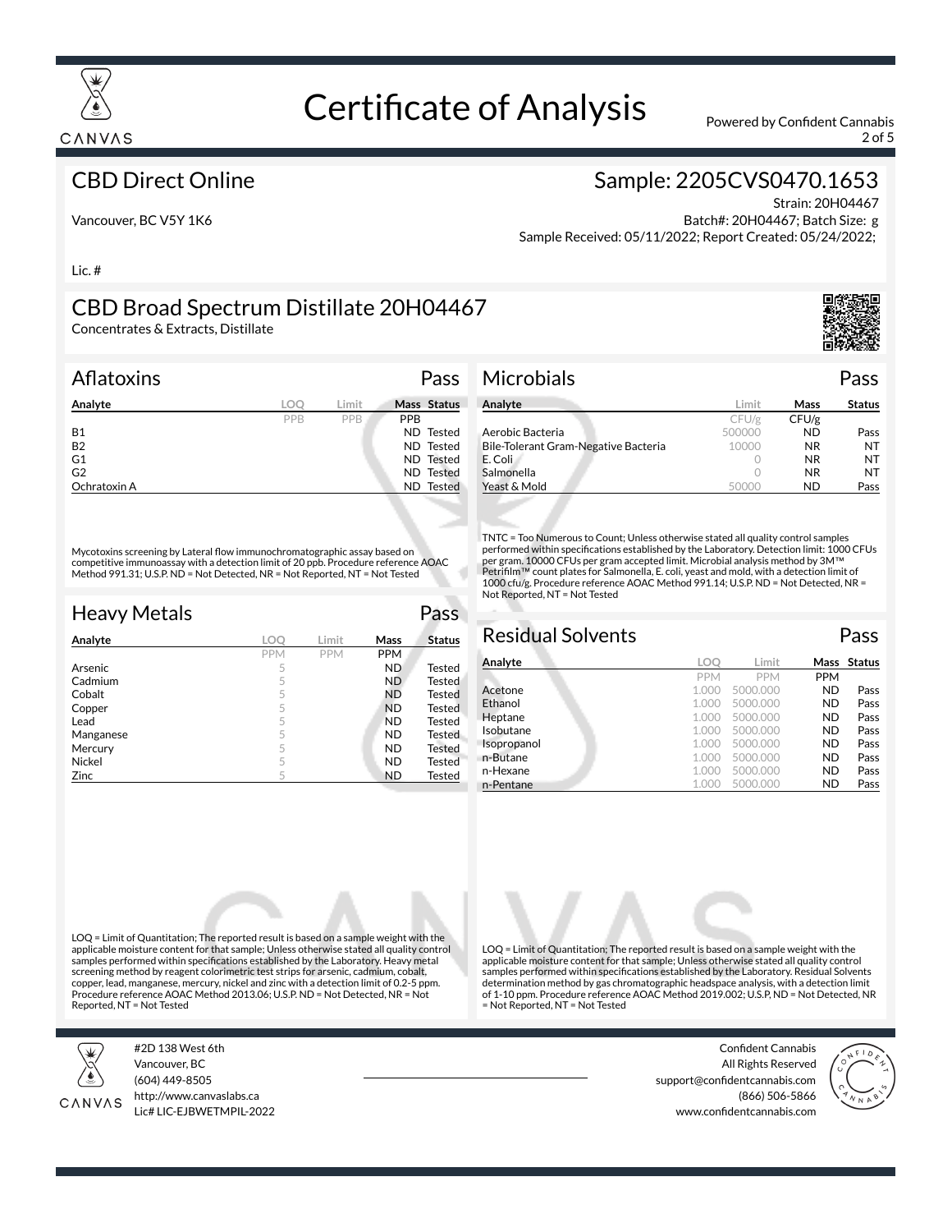

2 of 5

#### CBD Direct Online

#### Sample: 2205CVS0470.1653

Vancouver, BC V5Y 1K6

Strain: 20H04467 Batch#: 20H04467; Batch Size: g Sample Received: 05/11/2022; Report Created: 05/24/2022;

Lic. #

### CBD Broad Spectrum Distillate 20H04467

Concentrates & Extracts, Distillate

| <b>Aflatoxins</b> |     | Pass                 |
|-------------------|-----|----------------------|
| Analyte           | LOO | Mass Status<br>Limit |
|                   | PPB | PPB<br><b>PPB</b>    |
| <b>B1</b>         |     | ND Tested            |
| <b>B2</b>         |     | ND Tested            |
| G1                |     | ND Tested            |
| G <sub>2</sub>    |     | ND Tested            |
| Ochratoxin A      |     | <b>ND</b> Tested     |

Mycotoxins screening by Lateral flow immunochromatographic assay based on competitive immunoassay with a detection limit of 20 ppb. Procedure reference AOAC Method 991.31; U.S.P. ND = Not Detected, NR = Not Reported, NT = Not Tested

| <b>Heavy Metals</b> |            |            |            | Pass          |
|---------------------|------------|------------|------------|---------------|
| Analyte             | LOO        | Limit      | Mass       | <b>Status</b> |
|                     | <b>PPM</b> | <b>PPM</b> | <b>PPM</b> |               |
| Arsenic             | 5          |            | <b>ND</b>  | <b>Tested</b> |
| Cadmium             | 5          |            | ND.        | <b>Tested</b> |
| Cobalt              | 5          |            | <b>ND</b>  | <b>Tested</b> |
| Copper              | 5          |            | <b>ND</b>  | Tested        |
| Lead                | 5          |            | <b>ND</b>  | <b>Tested</b> |
| Manganese           | 5          |            | <b>ND</b>  | <b>Tested</b> |
| Mercury             | 5          |            | <b>ND</b>  | Tested        |
| Nickel              | 5          |            | <b>ND</b>  | Tested        |
| Zinc                | 5          |            | <b>ND</b>  | Tested        |

#### Microbials Pass

| Analyte                              | Limit  | Mass      | <b>Status</b> |
|--------------------------------------|--------|-----------|---------------|
|                                      | CFU/g  | CFU/g     |               |
| Aerobic Bacteria                     | 500000 | <b>ND</b> | Pass          |
| Bile-Tolerant Gram-Negative Bacteria | 10000  | NR.       | NT            |
| E. Coli                              |        | NR.       | NT            |
| Salmonella                           |        | NR.       | NT            |
| Yeast & Mold                         | זחחר   | ND        | Pass          |

TNTC = Too Numerous to Count; Unless otherwise stated all quality control samples performed within specifications established by the Laboratory. Detection limit: 1000 CFUs per gram. 10000 CFUs per gram accepted limit. Microbial analysis method by 3M™<br>Petrifilm™ count plates for Salmonella, E. coli, yeast and mold, with a detection limit of 1000 cfu/g. Procedure reference AOAC Method 991.14; U.S.P. ND = Not Detected, NR = Not Reported, NT = Not Tested

#### Residual Solvents Pass **Analyte LOQ Limit Mass Status** PPM PPM PPM<br>1.000 5000.000 ND Acetone 1.000 5000.000 ND Pass **Ethanol 1.000 5000.000 ND Pass Heptane 1.000 5000.000 ND Pass Isobutane 1.000 5000.000 ND Pass**<br>**Isopropanol** 1.000 5000.000 **ND Pass** Isopropanol n-Butane 1.000 5000.000 **ND** Pass n-Hexane 1.000 5000.000 **ND** Pass n-Pentane 1.000 5000.000 ND Pass

LOQ = Limit of Quantitation; The reported result is based on a sample weight with the applicable moisture content for that sample; Unless otherwise stated all quality control samples performed within specifications established by the Laboratory. Residual Solvents determination method by gas chromatographic headspace analysis, with a detection limit of 1-10 ppm. Procedure reference AOAC Method 2019.002; U.S.P, ND = Not Detected, NR

= Not Reported, NT = Not Tested

LOQ = Limit of Quantitation; The reported result is based on a sample weight with the applicable moisture content for that sample; Unless otherwise stated all quality control samples performed within specifications established by the Laboratory. Heavy metal screening method by reagent colorimetric test strips for arsenic, cadmium, cobalt, copper, lead, manganese, mercury, nickel and zinc with a detection limit of 0.2-5 ppm. Procedure reference AOAC Method 2013.06; U.S.P. ND = Not Detected, NR = Not Reported, NT = Not Tested



#2D 138 West 6th Vancouver, BC (604) 449-8505



http://www.canvaslabs.ca Lic# LIC-EJBWETMPIL-2022

Confident Cannabis All Rights Reserved support@confidentcannabis.com (866) 506-5866

www.confidentcannabis.com

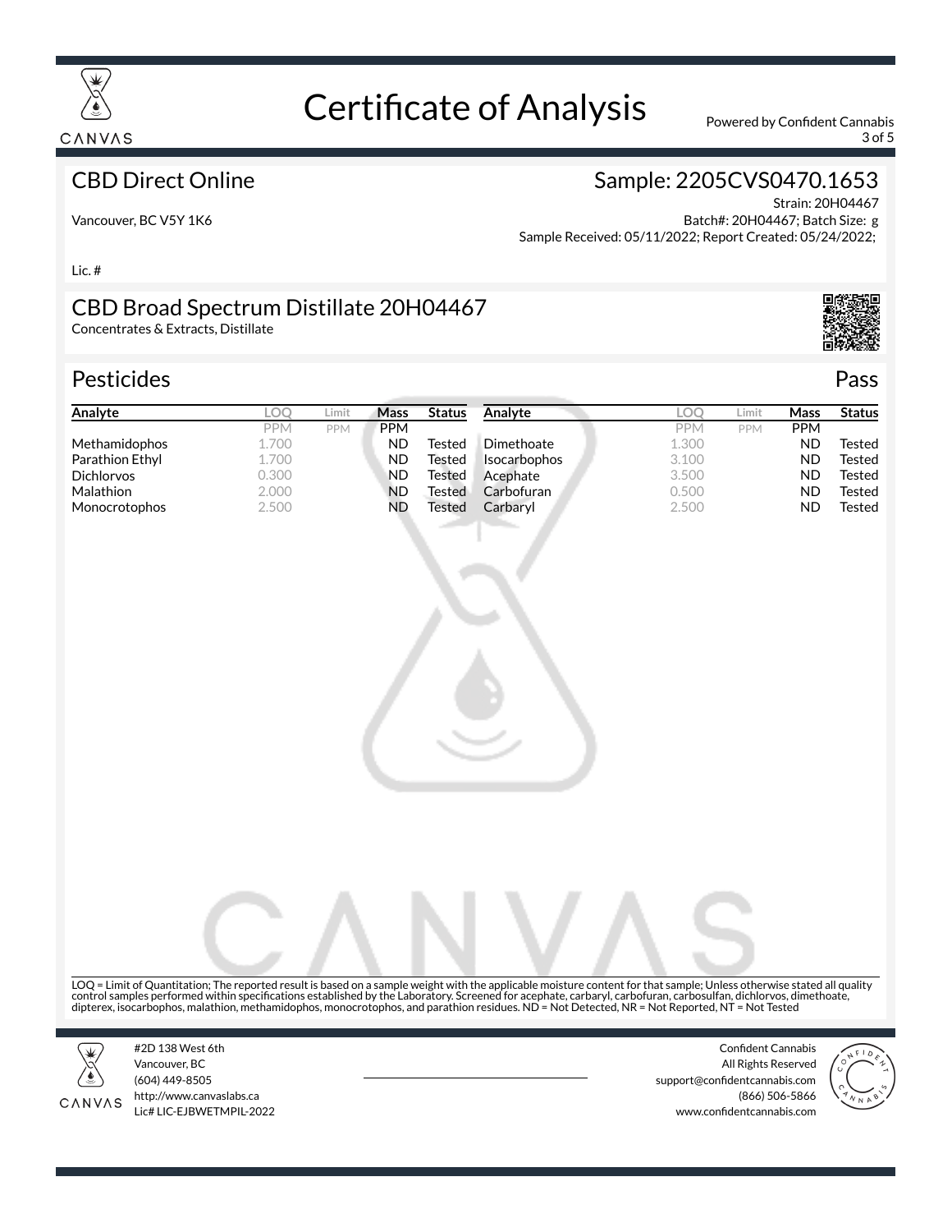

3 of 5

#### CBD Direct Online

#### Sample: 2205CVS0470.1653

Vancouver, BC V5Y 1K6

Strain: 20H04467 Batch#: 20H04467; Batch Size: g Sample Received: 05/11/2022; Report Created: 05/24/2022;

Lic. #

#### CBD Broad Spectrum Distillate 20H04467

Concentrates & Extracts, Distillate

#### Pesticides **Passage Contract Contract Contract Contract Contract Contract Contract Contract Contract Contract Contract Contract Contract Contract Contract Contract Contract Contract Contract Contract Contract Contract Cont**

| Analyte              | LOC        | Limit | Mass       | <b>Status</b> | Analyte             |            | Limit      | Mass       | <b>Status</b> |
|----------------------|------------|-------|------------|---------------|---------------------|------------|------------|------------|---------------|
|                      | <b>PPM</b> | PPM   | <b>PPM</b> |               |                     | <b>PPM</b> | <b>PPM</b> | <b>PPM</b> |               |
| <b>Methamidophos</b> | 1.700      |       | ND         | Tested        | Dimethoate          | 1.300      |            | ND         | Tested        |
| Parathion Ethyl      | 1.700      |       | ND         | Tested        | <b>Isocarbophos</b> | 3.100      |            | ND         | Tested        |
| <b>Dichlorvos</b>    | 0.300      |       | <b>ND</b>  | Tested        | Acephate            | 3.500      |            | ND         | Tested        |
| Malathion            | 2.000      |       | ND         | Tested        | Carbofuran          | 0.500      |            | ND         | Tested        |
| <b>Monocrotophos</b> | 2.500      |       | ND         | Tested        | Carbaryl            | 2.500      |            | ND         | Tested        |



LOQ = Limit of Quantitation; The reported result is based on a sample weight with the applicable moisture content for that sample; Unless otherwise stated all quality control samples performed within specifications established by the Laboratory. Screened for acephate, carbaryl, carbofuran, carbosulfan, dichlorvos, dimethoate,<br>dipterex, isocarbophos, malathion, methamidophos, monocrotoph



CANVAS

#2D 138 West 6th Vancouver, BC (604) 449-8505 http://www.canvaslabs.ca Lic# LIC-EJBWETMPIL-2022

Confident Cannabis All Rights Reserved support@confidentcannabis.com (866) 506-5866 www.confidentcannabis.com



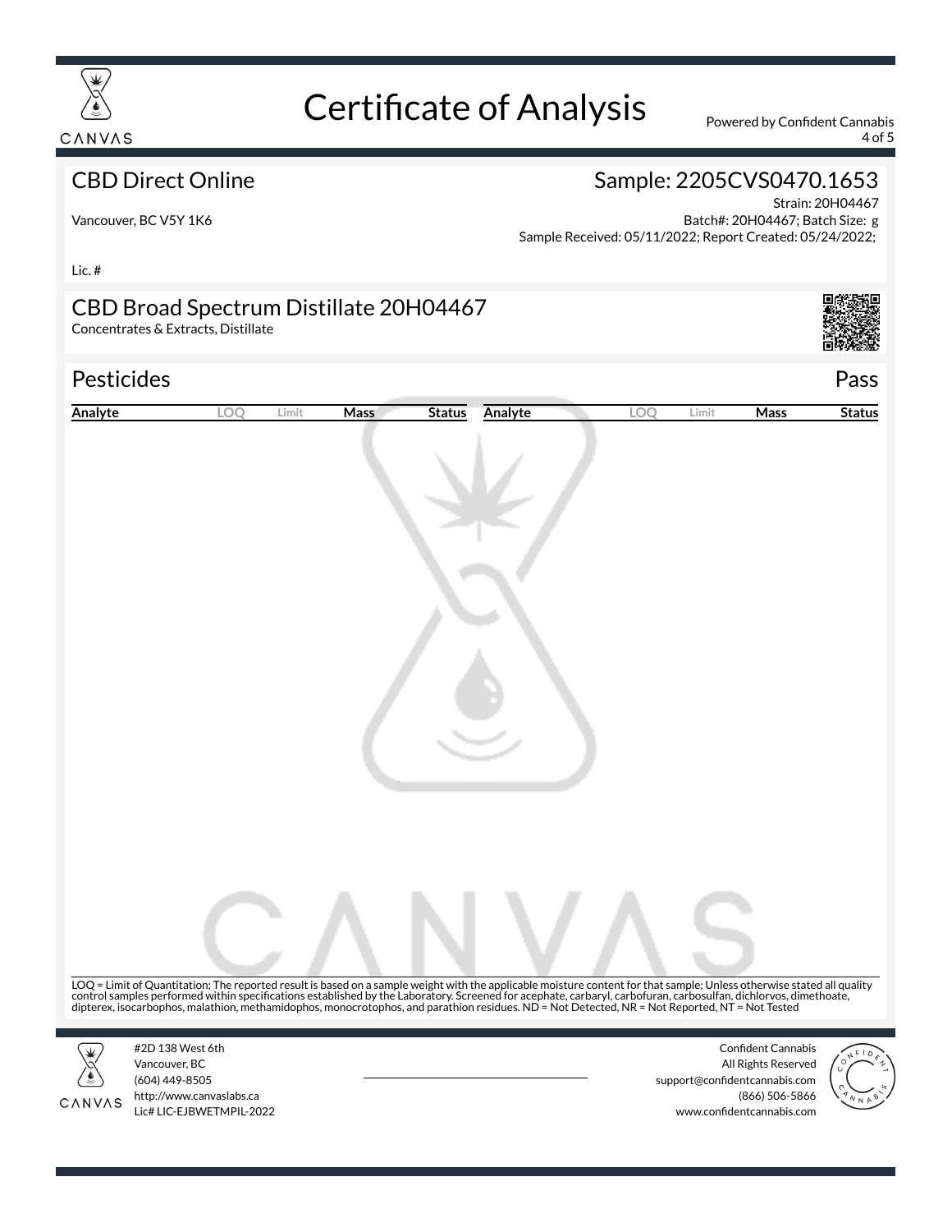

4 of 5

#### CBD Direct Online

#### Sample: 2205CVS0470.1653

Vancouver, BC V5Y 1K6

Strain: 20H04467 Batch#: 20H04467; Batch Size: g Sample Received: 05/11/2022; Report Created: 05/24/2022;

Lic. #

#### CBD Broad Spectrum Distillate 20H04467

Concentrates & Extracts, Distillate



|         |                                            |     |       |             |               |                                                                                                                                                                                                                                |     |       |                                                  | Pass          |
|---------|--------------------------------------------|-----|-------|-------------|---------------|--------------------------------------------------------------------------------------------------------------------------------------------------------------------------------------------------------------------------------|-----|-------|--------------------------------------------------|---------------|
| Analyte |                                            | LOQ | Limit | <b>Mass</b> | <b>Status</b> | Analyte                                                                                                                                                                                                                        | LOQ | Limit | <b>Mass</b>                                      | <b>Status</b> |
|         |                                            |     |       |             |               |                                                                                                                                                                                                                                |     |       |                                                  |               |
|         |                                            |     |       |             |               |                                                                                                                                                                                                                                |     |       |                                                  |               |
|         |                                            |     |       |             |               |                                                                                                                                                                                                                                |     |       |                                                  |               |
|         |                                            |     |       |             |               |                                                                                                                                                                                                                                |     |       |                                                  |               |
|         |                                            |     |       |             |               |                                                                                                                                                                                                                                |     |       |                                                  |               |
|         |                                            |     |       |             |               |                                                                                                                                                                                                                                |     |       |                                                  |               |
|         |                                            |     |       |             |               |                                                                                                                                                                                                                                |     |       |                                                  |               |
|         |                                            |     |       |             |               |                                                                                                                                                                                                                                |     |       |                                                  |               |
|         |                                            |     |       |             |               |                                                                                                                                                                                                                                |     |       |                                                  |               |
|         |                                            |     |       |             |               |                                                                                                                                                                                                                                |     |       |                                                  |               |
|         |                                            |     |       |             |               |                                                                                                                                                                                                                                |     |       |                                                  |               |
|         |                                            |     |       |             |               |                                                                                                                                                                                                                                |     |       |                                                  |               |
|         |                                            |     |       |             |               |                                                                                                                                                                                                                                |     |       |                                                  |               |
|         |                                            |     |       |             |               |                                                                                                                                                                                                                                |     |       |                                                  |               |
|         |                                            |     |       |             |               |                                                                                                                                                                                                                                |     |       |                                                  |               |
|         |                                            |     |       |             |               |                                                                                                                                                                                                                                |     |       |                                                  |               |
|         |                                            |     |       |             |               |                                                                                                                                                                                                                                |     |       |                                                  |               |
|         |                                            |     |       |             |               |                                                                                                                                                                                                                                |     |       |                                                  |               |
|         |                                            |     |       |             |               |                                                                                                                                                                                                                                |     |       |                                                  |               |
|         |                                            |     |       |             |               |                                                                                                                                                                                                                                |     |       |                                                  |               |
|         |                                            |     |       |             |               |                                                                                                                                                                                                                                |     |       |                                                  |               |
|         |                                            |     |       |             |               | LOQ = Limit of Quantitation; The reported result is based on a sample weight with the applicable moisture content for that sample; Unless otherwise stated all quality                                                         |     |       |                                                  |               |
|         |                                            |     |       |             |               | control samples performed within specifications established by the Laboratory. Screened for acephate, carbaryl, carbofuran, carbosulfan, dichlorvos, dimethoate, dipterex, isocarbophos, malathion, methamidophos, monocrotoph |     |       |                                                  |               |
|         |                                            |     |       |             |               |                                                                                                                                                                                                                                |     |       |                                                  |               |
|         | #2D 138 West 6th<br>Vancouver, BC          |     |       |             |               |                                                                                                                                                                                                                                |     |       | <b>Confident Cannabis</b><br>All Rights Reserved |               |
| CANVAS  | (604) 449-8505<br>http://www.canvaslabs.ca |     |       |             |               |                                                                                                                                                                                                                                |     |       | support@confidentcannabis.com<br>(866) 506-5866  |               |
|         |                                            |     |       |             |               |                                                                                                                                                                                                                                |     |       |                                                  |               |